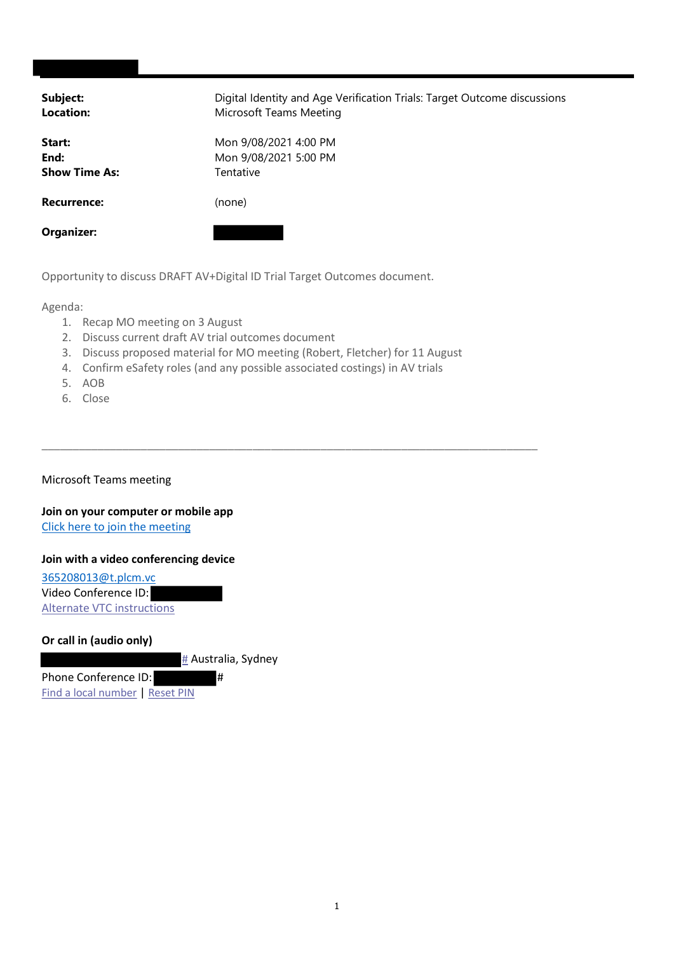| Subject:<br><b>Location:</b>           | Digital Identity and Age Verification Trials: Target Outcome discussions<br>Microsoft Teams Meeting |
|----------------------------------------|-----------------------------------------------------------------------------------------------------|
| Start:<br>End:<br><b>Show Time As:</b> | Mon 9/08/2021 4:00 PM<br>Mon 9/08/2021 5:00 PM<br>Tentative                                         |
| <b>Recurrence:</b>                     | (none)                                                                                              |
| <b>Organizer:</b>                      |                                                                                                     |

Opportunity to discuss DRAFT AV+Digital ID Trial Target Outcomes document.

Agenda:

- 1. Recap MO meeting on 3 August
- 2. Discuss current draft AV trial outcomes document
- 3. Discuss proposed material for MO meeting (Robert, Fletcher) for 11 August

\_\_\_\_\_\_\_\_\_\_\_\_\_\_\_\_\_\_\_\_\_\_\_\_\_\_\_\_\_\_\_\_\_\_\_\_\_\_\_\_\_\_\_\_\_\_\_\_\_\_\_\_\_\_\_\_\_\_\_\_\_\_\_\_\_\_\_\_\_\_\_\_\_\_\_\_\_\_\_\_

- 4. Confirm eSafety roles (and any possible associated costings) in AV trials
- 5. AOB
- 6. Close

Microsoft Teams meeting

Join on your computer or mobile app Click here to join the meeting

## Join with a video conferencing device

365208013@t.plcm.vc Video Conference ID: Alternate VTC instructions

## Or call in (audio only)

# Australia, Sydney

Phone Conference ID: # Find a local number | Reset PIN